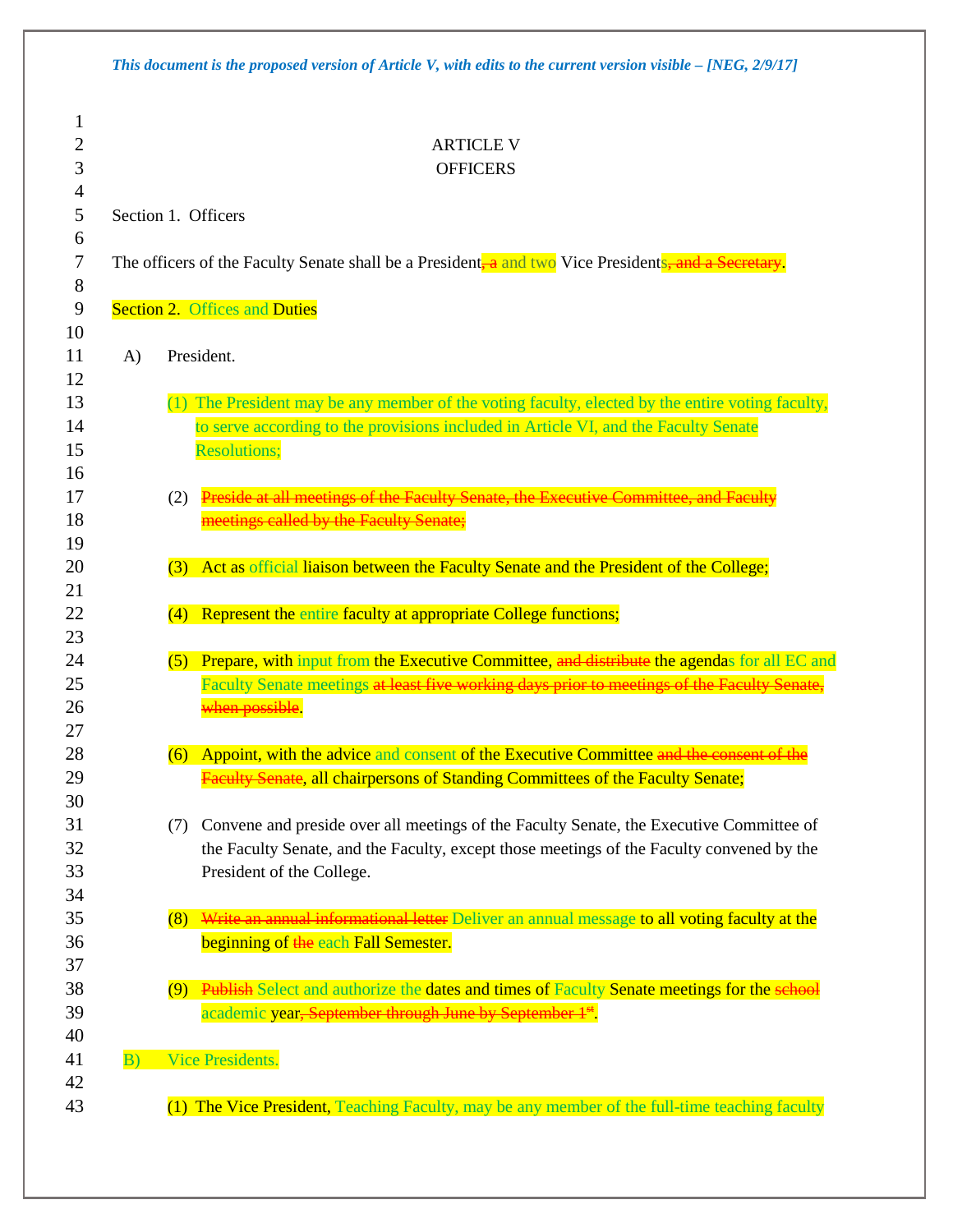| Section 1. Officers<br>The officers of the Faculty Senate shall be a President <sub>r</sub> a and two Vice President <sub>s, and a Secretary.</sub><br><b>Section 2. Offices and Duties</b><br>President.<br>A)<br>(1) The President may be any member of the voting faculty, elected by the entire voting faculty,<br>to serve according to the provisions included in Article VI, and the Faculty Senate<br><b>Resolutions;</b><br>Preside at all meetings of the Faculty Senate, the Executive Committee, and Faculty<br>(2)<br>meetings called by the Faculty Senate;<br>Act as official liaison between the Faculty Senate and the President of the College;<br>(3)<br>Represent the entire faculty at appropriate College functions;<br>(4)<br>(5)<br>when possible.<br>(6) Appoint, with the advice and consent of the Executive Committee and the consent of the<br><b>Faculty Senate, all chairpersons of Standing Committees of the Faculty Senate;</b><br>Convene and preside over all meetings of the Faculty Senate, the Executive Committee of<br>(7)<br>the Faculty Senate, and the Faculty, except those meetings of the Faculty convened by the<br>President of the College.<br>(8)<br>beginning of the each Fall Semester.<br>(9) Publish Select and authorize the dates and times of Faculty Senate meetings for the school<br>academic year, September through June by September 1st.<br>Vice Presidents.<br>B) | <b>ARTICLE V</b><br><b>OFFICERS</b>                                                           |
|-------------------------------------------------------------------------------------------------------------------------------------------------------------------------------------------------------------------------------------------------------------------------------------------------------------------------------------------------------------------------------------------------------------------------------------------------------------------------------------------------------------------------------------------------------------------------------------------------------------------------------------------------------------------------------------------------------------------------------------------------------------------------------------------------------------------------------------------------------------------------------------------------------------------------------------------------------------------------------------------------------------------------------------------------------------------------------------------------------------------------------------------------------------------------------------------------------------------------------------------------------------------------------------------------------------------------------------------------------------------------------------------------------------------------------------|-----------------------------------------------------------------------------------------------|
|                                                                                                                                                                                                                                                                                                                                                                                                                                                                                                                                                                                                                                                                                                                                                                                                                                                                                                                                                                                                                                                                                                                                                                                                                                                                                                                                                                                                                                     |                                                                                               |
|                                                                                                                                                                                                                                                                                                                                                                                                                                                                                                                                                                                                                                                                                                                                                                                                                                                                                                                                                                                                                                                                                                                                                                                                                                                                                                                                                                                                                                     |                                                                                               |
|                                                                                                                                                                                                                                                                                                                                                                                                                                                                                                                                                                                                                                                                                                                                                                                                                                                                                                                                                                                                                                                                                                                                                                                                                                                                                                                                                                                                                                     |                                                                                               |
|                                                                                                                                                                                                                                                                                                                                                                                                                                                                                                                                                                                                                                                                                                                                                                                                                                                                                                                                                                                                                                                                                                                                                                                                                                                                                                                                                                                                                                     |                                                                                               |
|                                                                                                                                                                                                                                                                                                                                                                                                                                                                                                                                                                                                                                                                                                                                                                                                                                                                                                                                                                                                                                                                                                                                                                                                                                                                                                                                                                                                                                     |                                                                                               |
|                                                                                                                                                                                                                                                                                                                                                                                                                                                                                                                                                                                                                                                                                                                                                                                                                                                                                                                                                                                                                                                                                                                                                                                                                                                                                                                                                                                                                                     |                                                                                               |
|                                                                                                                                                                                                                                                                                                                                                                                                                                                                                                                                                                                                                                                                                                                                                                                                                                                                                                                                                                                                                                                                                                                                                                                                                                                                                                                                                                                                                                     |                                                                                               |
|                                                                                                                                                                                                                                                                                                                                                                                                                                                                                                                                                                                                                                                                                                                                                                                                                                                                                                                                                                                                                                                                                                                                                                                                                                                                                                                                                                                                                                     |                                                                                               |
|                                                                                                                                                                                                                                                                                                                                                                                                                                                                                                                                                                                                                                                                                                                                                                                                                                                                                                                                                                                                                                                                                                                                                                                                                                                                                                                                                                                                                                     |                                                                                               |
|                                                                                                                                                                                                                                                                                                                                                                                                                                                                                                                                                                                                                                                                                                                                                                                                                                                                                                                                                                                                                                                                                                                                                                                                                                                                                                                                                                                                                                     |                                                                                               |
|                                                                                                                                                                                                                                                                                                                                                                                                                                                                                                                                                                                                                                                                                                                                                                                                                                                                                                                                                                                                                                                                                                                                                                                                                                                                                                                                                                                                                                     |                                                                                               |
|                                                                                                                                                                                                                                                                                                                                                                                                                                                                                                                                                                                                                                                                                                                                                                                                                                                                                                                                                                                                                                                                                                                                                                                                                                                                                                                                                                                                                                     |                                                                                               |
|                                                                                                                                                                                                                                                                                                                                                                                                                                                                                                                                                                                                                                                                                                                                                                                                                                                                                                                                                                                                                                                                                                                                                                                                                                                                                                                                                                                                                                     |                                                                                               |
|                                                                                                                                                                                                                                                                                                                                                                                                                                                                                                                                                                                                                                                                                                                                                                                                                                                                                                                                                                                                                                                                                                                                                                                                                                                                                                                                                                                                                                     | Prepare, with input from the Executive Committee, and distribute the agendas for all EC and   |
|                                                                                                                                                                                                                                                                                                                                                                                                                                                                                                                                                                                                                                                                                                                                                                                                                                                                                                                                                                                                                                                                                                                                                                                                                                                                                                                                                                                                                                     | Faculty Senate meetings at least five working days prior to meetings of the Faculty Senate,   |
|                                                                                                                                                                                                                                                                                                                                                                                                                                                                                                                                                                                                                                                                                                                                                                                                                                                                                                                                                                                                                                                                                                                                                                                                                                                                                                                                                                                                                                     |                                                                                               |
|                                                                                                                                                                                                                                                                                                                                                                                                                                                                                                                                                                                                                                                                                                                                                                                                                                                                                                                                                                                                                                                                                                                                                                                                                                                                                                                                                                                                                                     |                                                                                               |
|                                                                                                                                                                                                                                                                                                                                                                                                                                                                                                                                                                                                                                                                                                                                                                                                                                                                                                                                                                                                                                                                                                                                                                                                                                                                                                                                                                                                                                     |                                                                                               |
|                                                                                                                                                                                                                                                                                                                                                                                                                                                                                                                                                                                                                                                                                                                                                                                                                                                                                                                                                                                                                                                                                                                                                                                                                                                                                                                                                                                                                                     |                                                                                               |
|                                                                                                                                                                                                                                                                                                                                                                                                                                                                                                                                                                                                                                                                                                                                                                                                                                                                                                                                                                                                                                                                                                                                                                                                                                                                                                                                                                                                                                     |                                                                                               |
|                                                                                                                                                                                                                                                                                                                                                                                                                                                                                                                                                                                                                                                                                                                                                                                                                                                                                                                                                                                                                                                                                                                                                                                                                                                                                                                                                                                                                                     |                                                                                               |
|                                                                                                                                                                                                                                                                                                                                                                                                                                                                                                                                                                                                                                                                                                                                                                                                                                                                                                                                                                                                                                                                                                                                                                                                                                                                                                                                                                                                                                     |                                                                                               |
|                                                                                                                                                                                                                                                                                                                                                                                                                                                                                                                                                                                                                                                                                                                                                                                                                                                                                                                                                                                                                                                                                                                                                                                                                                                                                                                                                                                                                                     | Write an annual informational letter Deliver an annual message to all voting faculty at the   |
|                                                                                                                                                                                                                                                                                                                                                                                                                                                                                                                                                                                                                                                                                                                                                                                                                                                                                                                                                                                                                                                                                                                                                                                                                                                                                                                                                                                                                                     |                                                                                               |
|                                                                                                                                                                                                                                                                                                                                                                                                                                                                                                                                                                                                                                                                                                                                                                                                                                                                                                                                                                                                                                                                                                                                                                                                                                                                                                                                                                                                                                     |                                                                                               |
|                                                                                                                                                                                                                                                                                                                                                                                                                                                                                                                                                                                                                                                                                                                                                                                                                                                                                                                                                                                                                                                                                                                                                                                                                                                                                                                                                                                                                                     |                                                                                               |
|                                                                                                                                                                                                                                                                                                                                                                                                                                                                                                                                                                                                                                                                                                                                                                                                                                                                                                                                                                                                                                                                                                                                                                                                                                                                                                                                                                                                                                     |                                                                                               |
|                                                                                                                                                                                                                                                                                                                                                                                                                                                                                                                                                                                                                                                                                                                                                                                                                                                                                                                                                                                                                                                                                                                                                                                                                                                                                                                                                                                                                                     |                                                                                               |
|                                                                                                                                                                                                                                                                                                                                                                                                                                                                                                                                                                                                                                                                                                                                                                                                                                                                                                                                                                                                                                                                                                                                                                                                                                                                                                                                                                                                                                     | (1) The Vice President, Teaching Faculty, may be any member of the full-time teaching faculty |

(1) The Vice President, Teaching Faculty, may be any member of the full-time teaching faculty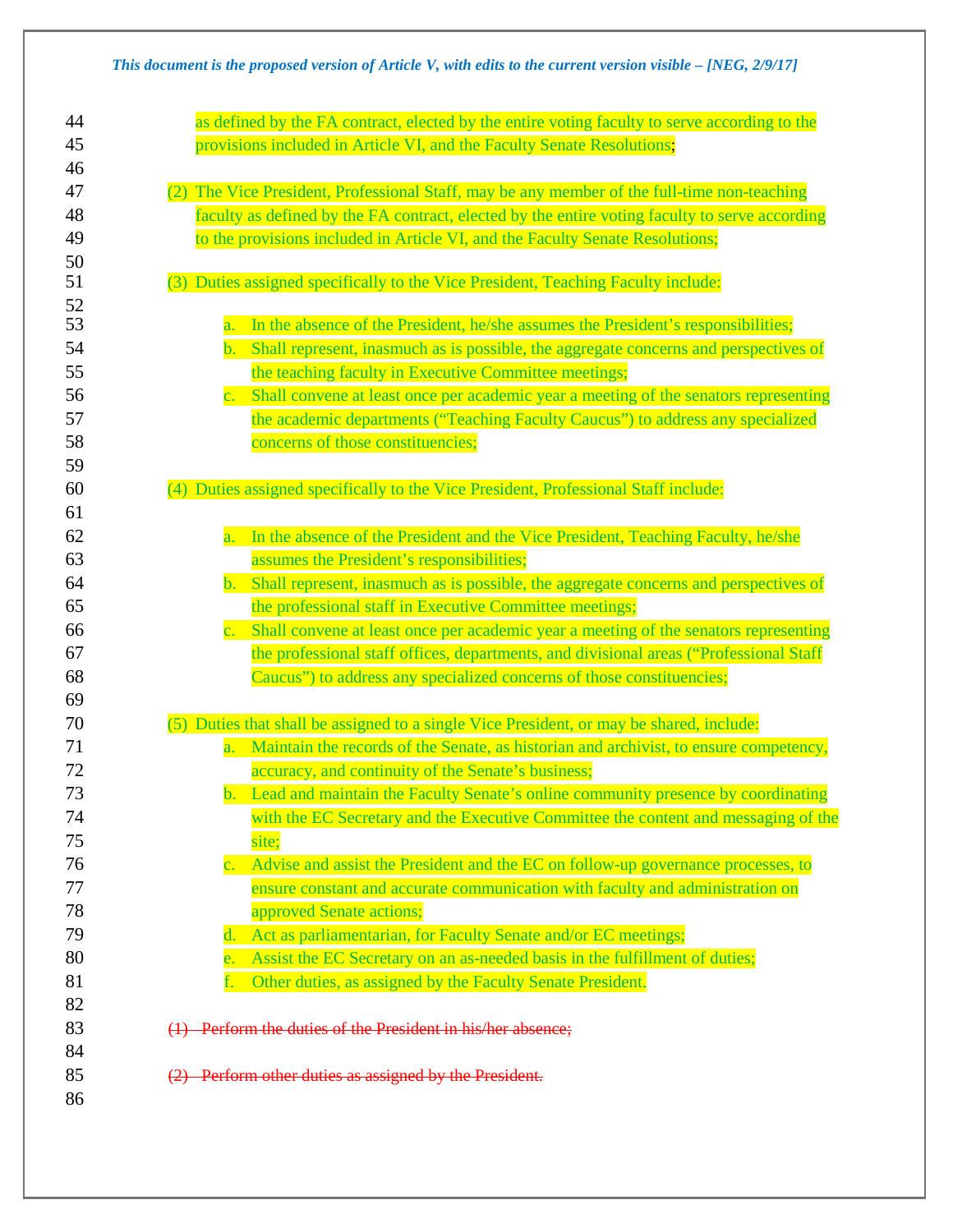## *This document is the proposed version of Article V, with edits to the current version visible – [NEG, 2/9/17]*

| 44       | as defined by the FA contract, elected by the entire voting faculty to serve according to the          |
|----------|--------------------------------------------------------------------------------------------------------|
| 45       | provisions included in Article VI, and the Faculty Senate Resolutions;                                 |
| 46       |                                                                                                        |
| 47       | (2) The Vice President, Professional Staff, may be any member of the full-time non-teaching            |
| 48       | faculty as defined by the FA contract, elected by the entire voting faculty to serve according         |
| 49       | to the provisions included in Article VI, and the Faculty Senate Resolutions;                          |
| 50       |                                                                                                        |
| 51       | (3) Duties assigned specifically to the Vice President, Teaching Faculty include:                      |
| 52       |                                                                                                        |
| 53       | In the absence of the President, he/she assumes the President's responsibilities;<br>$\overline{a}$ .  |
| 54       | Shall represent, inasmuch as is possible, the aggregate concerns and perspectives of<br>$\mathbf{b}$ . |
| 55       | the teaching faculty in Executive Committee meetings;                                                  |
| 56       | c. Shall convene at least once per academic year a meeting of the senators representing                |
| 57       | the academic departments ("Teaching Faculty Caucus") to address any specialized                        |
| 58       | concerns of those constituencies;                                                                      |
| 59       |                                                                                                        |
| 60       | (4) Duties assigned specifically to the Vice President, Professional Staff include:                    |
| 61       |                                                                                                        |
| 62       | In the absence of the President and the Vice President, Teaching Faculty, he/she<br>a.                 |
| 63       | assumes the President's responsibilities;                                                              |
| 64       | b. Shall represent, inasmuch as is possible, the aggregate concerns and perspectives of                |
| 65       | the professional staff in Executive Committee meetings;                                                |
| 66       | c. Shall convene at least once per academic year a meeting of the senators representing                |
| 67       | the professional staff offices, departments, and divisional areas ("Professional Staff                 |
| 68       | Caucus") to address any specialized concerns of those constituencies;                                  |
| 69       |                                                                                                        |
| 70       | (5) Duties that shall be assigned to a single Vice President, or may be shared, include:               |
| 71       | a. Maintain the records of the Senate, as historian and archivist, to ensure competency,               |
| 72       | accuracy, and continuity of the Senate's business;                                                     |
| 73       | b. Lead and maintain the Faculty Senate's online community presence by coordinating                    |
| 74       | with the EC Secretary and the Executive Committee the content and messaging of the                     |
| 75       | site;                                                                                                  |
| 76       | c. Advise and assist the President and the EC on follow-up governance processes, to                    |
| 77       | ensure constant and accurate communication with faculty and administration on                          |
| 78       | approved Senate actions;                                                                               |
| 79       | Act as parliamentarian, for Faculty Senate and/or EC meetings;<br>$\mathbf{d}$ .                       |
| 80       | Assist the EC Secretary on an as-needed basis in the fulfillment of duties;<br>e.                      |
| 81       | Other duties, as assigned by the Faculty Senate President.<br>f.                                       |
| 82<br>83 | (1) Perform the duties of the President in his/her absence;                                            |
| 84       |                                                                                                        |
| 85       |                                                                                                        |
| 86       | (2) Perform other duties as assigned by the President.                                                 |
|          |                                                                                                        |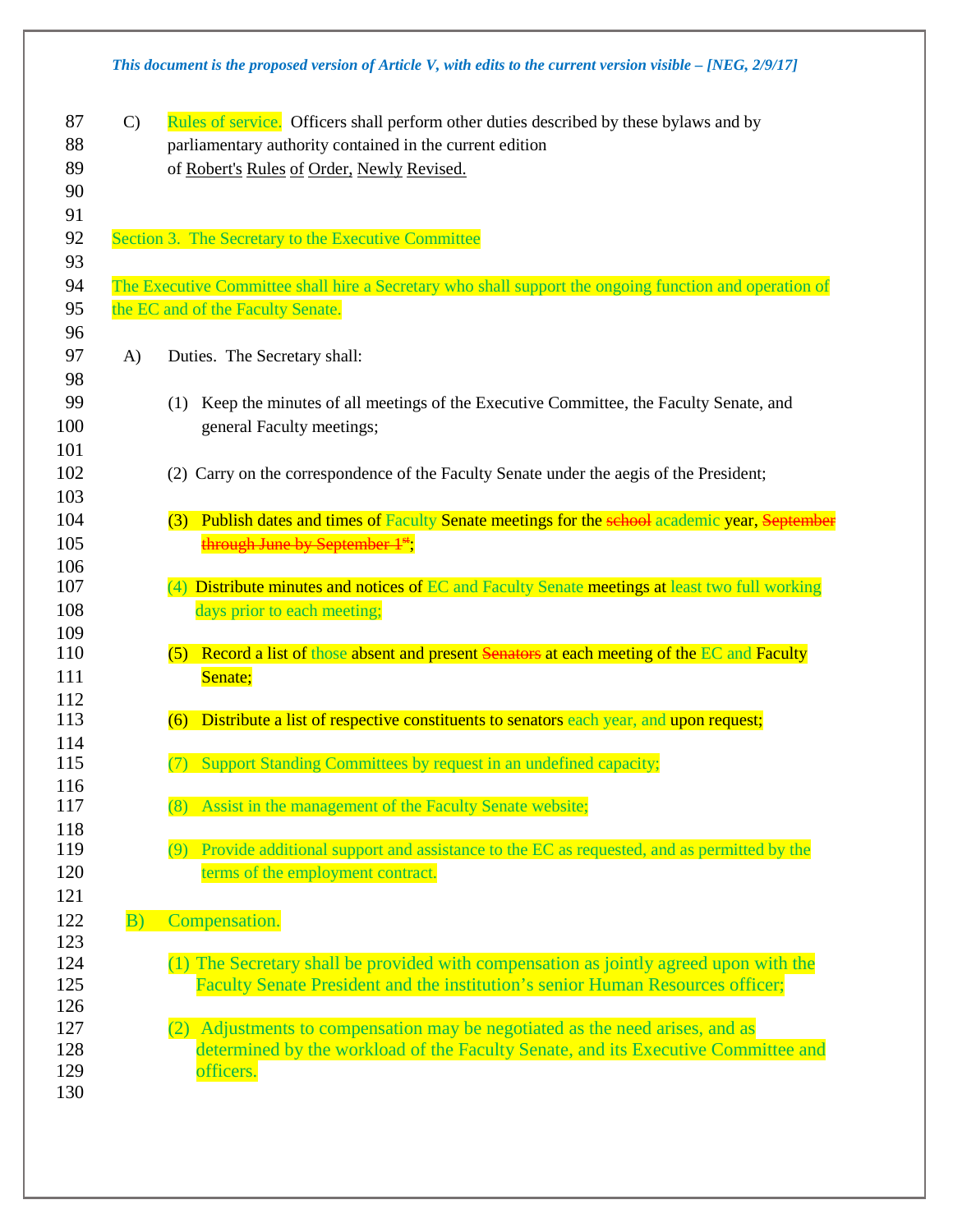|    |               | This document is the proposed version of Article V, with edits to the current version visible $-$ [NEG, 2/9/17] |
|----|---------------|-----------------------------------------------------------------------------------------------------------------|
| 87 | $\mathcal{C}$ | Rules of service. Officers shall perform other duties described by these bylaws and by                          |
| 88 |               | parliamentary authority contained in the current edition                                                        |
| 89 |               | of Robert's Rules of Order, Newly Revised.                                                                      |
| 90 |               |                                                                                                                 |

- 92 Section 3. The Secretary to the Executive Committee
- 94 The Executive Committee shall hire a Secretary who shall support the ongoing function and operation of 95 the EC and of the Faculty Senate.
- A) Duties. The Secretary shall:

 $\frac{112}{113}$ 

- (1) Keep the minutes of all meetings of the Executive Committee, the Faculty Senate, and 100 general Faculty meetings;
- (2) Carry on the correspondence of the Faculty Senate under the aegis of the President;
- 104 (3) Publish dates and times of Faculty Senate meetings for the school academic year, September 105 **through June by September 1<sup>st</sup>;**
- (4) Distribute minutes and notices of EC and Faculty Senate meetings at least two full working 108 days prior to each meeting;
- 110 (5) Record a list of those absent and present Senators at each meeting of the EC and Faculty 111 Senate;
	- Distribute a list of respective constituents to senators each year, and upon request;
- (7) Support Standing Committees by request in an undefined capacity;
- (8) Assist in the management of the Faculty Senate website;
- (9) Provide additional support and assistance to the EC as requested, and as permitted by the 120 terms of the employment contract.

## B) Compensation.

- (1) The Secretary shall be provided with compensation as jointly agreed upon with the Faculty Senate President and the institution's senior Human Resources officer;
- (2) Adjustments to compensation may be negotiated as the need arises, and as determined by the workload of the Faculty Senate, and its Executive Committee and 129 officers.